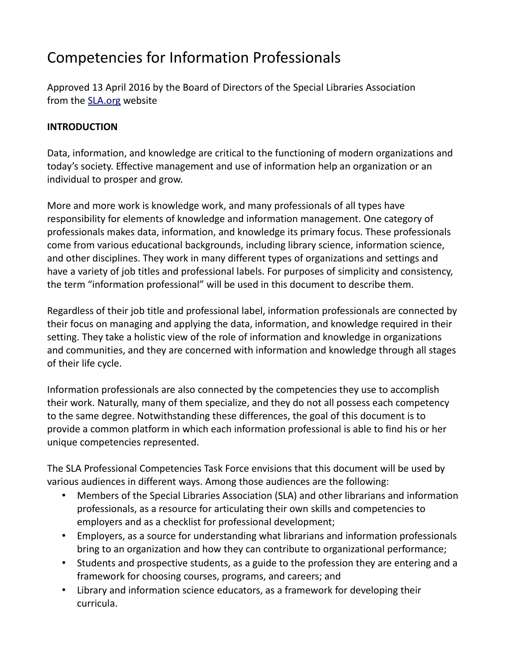# Competencies for Information Professionals

Approved 13 April 2016 by the Board of Directors of the Special Libraries Association from the [SLA.org](http://www.SLA.org/) website

## **INTRODUCTION**

Data, information, and knowledge are critical to the functioning of modern organizations and today's society. Effective management and use of information help an organization or an individual to prosper and grow.

More and more work is knowledge work, and many professionals of all types have responsibility for elements of knowledge and information management. One category of professionals makes data, information, and knowledge its primary focus. These professionals come from various educational backgrounds, including library science, information science, and other disciplines. They work in many different types of organizations and settings and have a variety of job titles and professional labels. For purposes of simplicity and consistency, the term "information professional" will be used in this document to describe them.

Regardless of their job title and professional label, information professionals are connected by their focus on managing and applying the data, information, and knowledge required in their setting. They take a holistic view of the role of information and knowledge in organizations and communities, and they are concerned with information and knowledge through all stages of their life cycle.

Information professionals are also connected by the competencies they use to accomplish their work. Naturally, many of them specialize, and they do not all possess each competency to the same degree. Notwithstanding these differences, the goal of this document is to provide a common platform in which each information professional is able to find his or her unique competencies represented.

The SLA Professional Competencies Task Force envisions that this document will be used by various audiences in different ways. Among those audiences are the following:

- Members of the Special Libraries Association (SLA) and other librarians and information professionals, as a resource for articulating their own skills and competencies to employers and as a checklist for professional development;
- Employers, as a source for understanding what librarians and information professionals bring to an organization and how they can contribute to organizational performance;
- Students and prospective students, as a guide to the profession they are entering and a framework for choosing courses, programs, and careers; and
- Library and information science educators, as a framework for developing their curricula.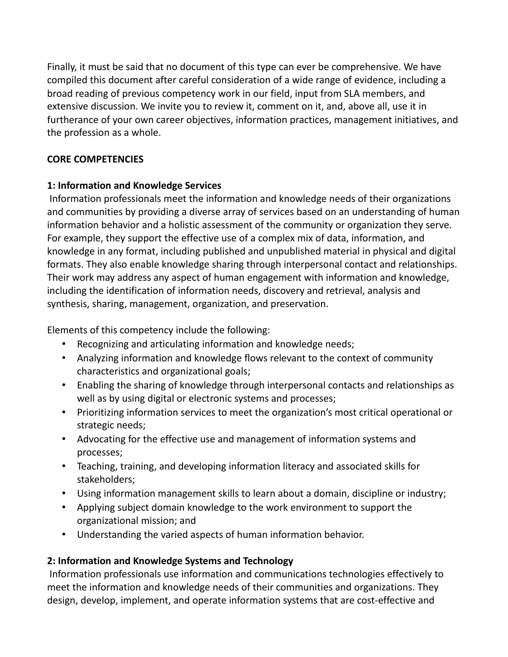Finally, it must be said that no document of this type can ever be comprehensive. We have compiled this document after careful consideration of a wide range of evidence, including a broad reading of previous competency work in our field, input from SLA members, and extensive discussion. We invite you to review it, comment on it, and, above all, use it in furtherance of your own career objectives, information practices, management initiatives, and the profession as a whole.

## **CORE COMPETENCIES**

#### **1: Information and Knowledge Services**

 Information professionals meet the information and knowledge needs of their organizations and communities by providing a diverse array of services based on an understanding of human information behavior and a holistic assessment of the community or organization they serve. For example, they support the effective use of a complex mix of data, information, and knowledge in any format, including published and unpublished material in physical and digital formats. They also enable knowledge sharing through interpersonal contact and relationships. Their work may address any aspect of human engagement with information and knowledge, including the identification of information needs, discovery and retrieval, analysis and synthesis, sharing, management, organization, and preservation.

Elements of this competency include the following:

- Recognizing and articulating information and knowledge needs;
- Analyzing information and knowledge flows relevant to the context of community characteristics and organizational goals;
- Enabling the sharing of knowledge through interpersonal contacts and relationships as well as by using digital or electronic systems and processes;
- Prioritizing information services to meet the organization's most critical operational or strategic needs;
- Advocating for the effective use and management of information systems and processes;
- Teaching, training, and developing information literacy and associated skills for stakeholders;
- Using information management skills to learn about a domain, discipline or industry;
- Applying subject domain knowledge to the work environment to support the organizational mission; and
- Understanding the varied aspects of human information behavior.

## **2: Information and Knowledge Systems and Technology**

 Information professionals use information and communications technologies effectively to meet the information and knowledge needs of their communities and organizations. They design, develop, implement, and operate information systems that are cost-effective and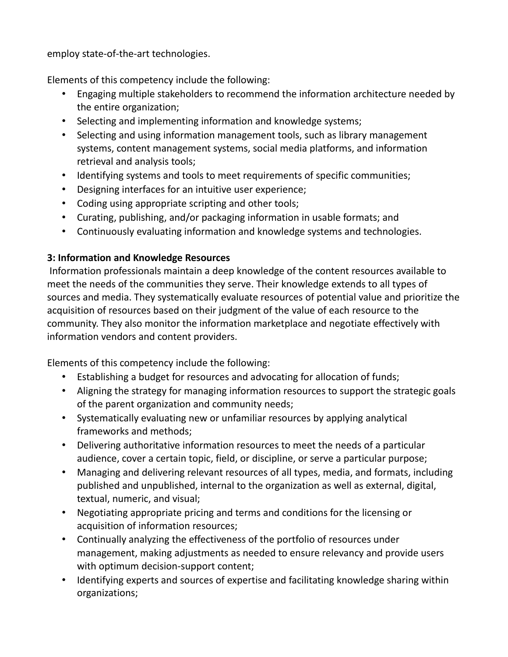employ state-of-the-art technologies.

Elements of this competency include the following:

- Engaging multiple stakeholders to recommend the information architecture needed by the entire organization;
- Selecting and implementing information and knowledge systems;
- Selecting and using information management tools, such as library management systems, content management systems, social media platforms, and information retrieval and analysis tools;
- Identifying systems and tools to meet requirements of specific communities;
- Designing interfaces for an intuitive user experience;
- Coding using appropriate scripting and other tools;
- Curating, publishing, and/or packaging information in usable formats; and
- Continuously evaluating information and knowledge systems and technologies.

# **3: Information and Knowledge Resources**

 Information professionals maintain a deep knowledge of the content resources available to meet the needs of the communities they serve. Their knowledge extends to all types of sources and media. They systematically evaluate resources of potential value and prioritize the acquisition of resources based on their judgment of the value of each resource to the community. They also monitor the information marketplace and negotiate effectively with information vendors and content providers.

Elements of this competency include the following:

- Establishing a budget for resources and advocating for allocation of funds;
- Aligning the strategy for managing information resources to support the strategic goals of the parent organization and community needs;
- Systematically evaluating new or unfamiliar resources by applying analytical frameworks and methods;
- Delivering authoritative information resources to meet the needs of a particular audience, cover a certain topic, field, or discipline, or serve a particular purpose;
- Managing and delivering relevant resources of all types, media, and formats, including published and unpublished, internal to the organization as well as external, digital, textual, numeric, and visual;
- Negotiating appropriate pricing and terms and conditions for the licensing or acquisition of information resources;
- Continually analyzing the effectiveness of the portfolio of resources under management, making adjustments as needed to ensure relevancy and provide users with optimum decision-support content;
- Identifying experts and sources of expertise and facilitating knowledge sharing within organizations;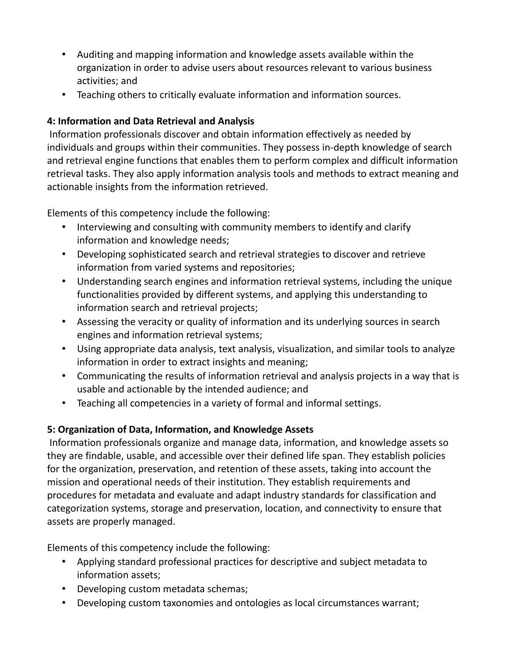- Auditing and mapping information and knowledge assets available within the organization in order to advise users about resources relevant to various business activities; and
- Teaching others to critically evaluate information and information sources.

# **4: Information and Data Retrieval and Analysis**

 Information professionals discover and obtain information effectively as needed by individuals and groups within their communities. They possess in-depth knowledge of search and retrieval engine functions that enables them to perform complex and difficult information retrieval tasks. They also apply information analysis tools and methods to extract meaning and actionable insights from the information retrieved.

Elements of this competency include the following:

- Interviewing and consulting with community members to identify and clarify information and knowledge needs;
- Developing sophisticated search and retrieval strategies to discover and retrieve information from varied systems and repositories;
- Understanding search engines and information retrieval systems, including the unique functionalities provided by different systems, and applying this understanding to information search and retrieval projects;
- Assessing the veracity or quality of information and its underlying sources in search engines and information retrieval systems;
- Using appropriate data analysis, text analysis, visualization, and similar tools to analyze information in order to extract insights and meaning;
- Communicating the results of information retrieval and analysis projects in a way that is usable and actionable by the intended audience; and
- Teaching all competencies in a variety of formal and informal settings.

# **5: Organization of Data, Information, and Knowledge Assets**

 Information professionals organize and manage data, information, and knowledge assets so they are findable, usable, and accessible over their defined life span. They establish policies for the organization, preservation, and retention of these assets, taking into account the mission and operational needs of their institution. They establish requirements and procedures for metadata and evaluate and adapt industry standards for classification and categorization systems, storage and preservation, location, and connectivity to ensure that assets are properly managed.

Elements of this competency include the following:

- Applying standard professional practices for descriptive and subject metadata to information assets;
- Developing custom metadata schemas;
- Developing custom taxonomies and ontologies as local circumstances warrant;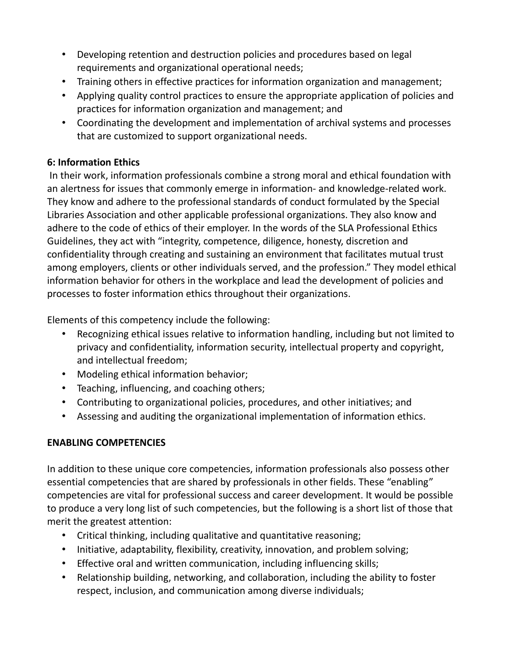- Developing retention and destruction policies and procedures based on legal requirements and organizational operational needs;
- Training others in effective practices for information organization and management;
- Applying quality control practices to ensure the appropriate application of policies and practices for information organization and management; and
- Coordinating the development and implementation of archival systems and processes that are customized to support organizational needs.

# **6: Information Ethics**

 In their work, information professionals combine a strong moral and ethical foundation with an alertness for issues that commonly emerge in information- and knowledge-related work. They know and adhere to the professional standards of conduct formulated by the Special Libraries Association and other applicable professional organizations. They also know and adhere to the code of ethics of their employer. In the words of the SLA Professional Ethics Guidelines, they act with "integrity, competence, diligence, honesty, discretion and confidentiality through creating and sustaining an environment that facilitates mutual trust among employers, clients or other individuals served, and the profession." They model ethical information behavior for others in the workplace and lead the development of policies and processes to foster information ethics throughout their organizations.

Elements of this competency include the following:

- Recognizing ethical issues relative to information handling, including but not limited to privacy and confidentiality, information security, intellectual property and copyright, and intellectual freedom;
- Modeling ethical information behavior;
- Teaching, influencing, and coaching others;
- Contributing to organizational policies, procedures, and other initiatives; and
- Assessing and auditing the organizational implementation of information ethics.

# **ENABLING COMPETENCIES**

In addition to these unique core competencies, information professionals also possess other essential competencies that are shared by professionals in other fields. These "enabling" competencies are vital for professional success and career development. It would be possible to produce a very long list of such competencies, but the following is a short list of those that merit the greatest attention:

- Critical thinking, including qualitative and quantitative reasoning;
- Initiative, adaptability, flexibility, creativity, innovation, and problem solving;
- Effective oral and written communication, including influencing skills;
- Relationship building, networking, and collaboration, including the ability to foster respect, inclusion, and communication among diverse individuals;